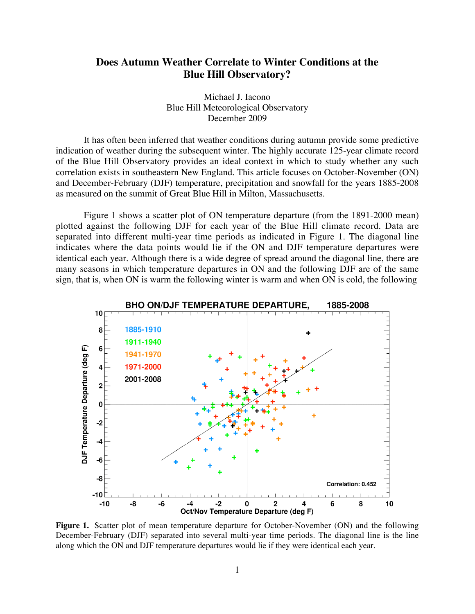## **Does Autumn Weather Correlate to Winter Conditions at the Blue Hill Observatory?**

Michael J. Iacono Blue Hill Meteorological Observatory December 2009

It has often been inferred that weather conditions during autumn provide some predictive indication of weather during the subsequent winter. The highly accurate 125-year climate record of the Blue Hill Observatory provides an ideal context in which to study whether any such correlation exists in southeastern New England. This article focuses on October-November (ON) and December-February (DJF) temperature, precipitation and snowfall for the years 1885-2008 as measured on the summit of Great Blue Hill in Milton, Massachusetts.

Figure 1 shows a scatter plot of ON temperature departure (from the 1891-2000 mean) plotted against the following DJF for each year of the Blue Hill climate record. Data are separated into different multi-year time periods as indicated in Figure 1. The diagonal line indicates where the data points would lie if the ON and DJF temperature departures were identical each year. Although there is a wide degree of spread around the diagonal line, there are many seasons in which temperature departures in ON and the following DJF are of the same sign, that is, when ON is warm the following winter is warm and when ON is cold, the following



Figure 1. Scatter plot of mean temperature departure for October-November (ON) and the following December-February (DJF) separated into several multi-year time periods. The diagonal line is the line along which the ON and DJF temperature departures would lie if they were identical each year.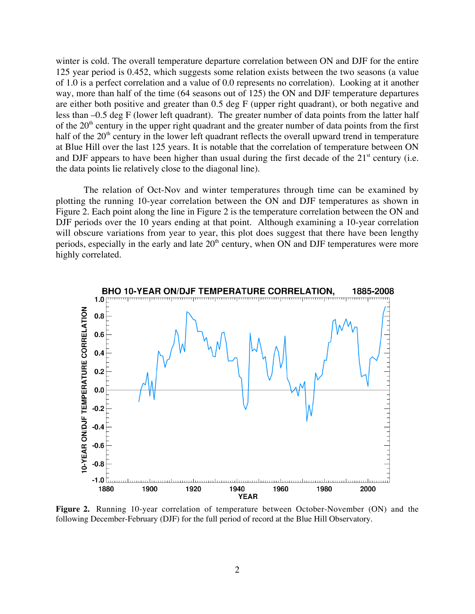winter is cold. The overall temperature departure correlation between ON and DJF for the entire 125 year period is 0.452, which suggests some relation exists between the two seasons (a value of 1.0 is a perfect correlation and a value of 0.0 represents no correlation). Looking at it another way, more than half of the time (64 seasons out of 125) the ON and DJF temperature departures are either both positive and greater than 0.5 deg F (upper right quadrant), or both negative and less than –0.5 deg F (lower left quadrant). The greater number of data points from the latter half of the  $20<sup>th</sup>$  century in the upper right quadrant and the greater number of data points from the first half of the  $20<sup>th</sup>$  century in the lower left quadrant reflects the overall upward trend in temperature at Blue Hill over the last 125 years. It is notable that the correlation of temperature between ON and DJF appears to have been higher than usual during the first decade of the  $21<sup>st</sup>$  century (i.e. the data points lie relatively close to the diagonal line).

The relation of Oct-Nov and winter temperatures through time can be examined by plotting the running 10-year correlation between the ON and DJF temperatures as shown in Figure 2. Each point along the line in Figure 2 is the temperature correlation between the ON and DJF periods over the 10 years ending at that point. Although examining a 10-year correlation will obscure variations from year to year, this plot does suggest that there have been lengthy periods, especially in the early and late  $20<sup>th</sup>$  century, when ON and DJF temperatures were more highly correlated.



**Figure 2.** Running 10-year correlation of temperature between October-November (ON) and the following December-February (DJF) for the full period of record at the Blue Hill Observatory.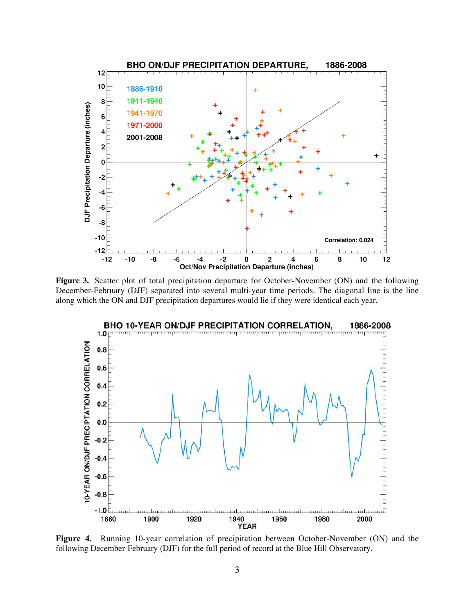

**Figure 3.** Scatter plot of total precipitation departure for October-November (ON) and the following December-February (DJF) separated into several multi-year time periods. The diagonal line is the line along which the ON and DJF precipitation departures would lie if they were identical each year.



**Figure 4.** Running 10-year correlation of precipitation between October-November (ON) and the following December-February (DJF) for the full period of record at the Blue Hill Observatory.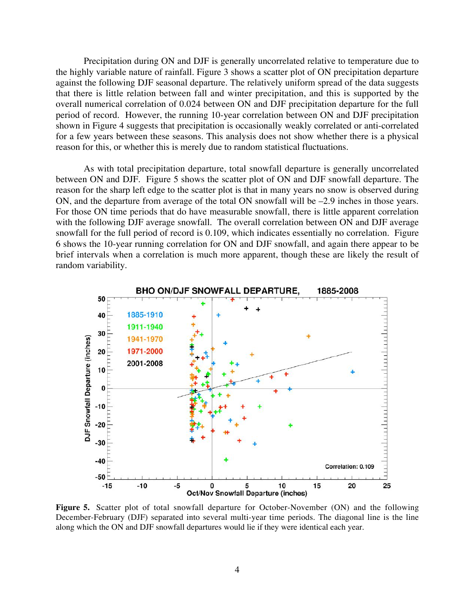Precipitation during ON and DJF is generally uncorrelated relative to temperature due to the highly variable nature of rainfall. Figure 3 shows a scatter plot of ON precipitation departure against the following DJF seasonal departure. The relatively uniform spread of the data suggests that there is little relation between fall and winter precipitation, and this is supported by the overall numerical correlation of 0.024 between ON and DJF precipitation departure for the full period of record. However, the running 10-year correlation between ON and DJF precipitation shown in Figure 4 suggests that precipitation is occasionally weakly correlated or anti-correlated for a few years between these seasons. This analysis does not show whether there is a physical reason for this, or whether this is merely due to random statistical fluctuations.

As with total precipitation departure, total snowfall departure is generally uncorrelated between ON and DJF. Figure 5 shows the scatter plot of ON and DJF snowfall departure. The reason for the sharp left edge to the scatter plot is that in many years no snow is observed during ON, and the departure from average of the total ON snowfall will be –2.9 inches in those years. For those ON time periods that do have measurable snowfall, there is little apparent correlation with the following DJF average snowfall. The overall correlation between ON and DJF average snowfall for the full period of record is 0.109, which indicates essentially no correlation. Figure 6 shows the 10-year running correlation for ON and DJF snowfall, and again there appear to be brief intervals when a correlation is much more apparent, though these are likely the result of random variability.



**Figure 5.** Scatter plot of total snowfall departure for October-November (ON) and the following December-February (DJF) separated into several multi-year time periods. The diagonal line is the line along which the ON and DJF snowfall departures would lie if they were identical each year.